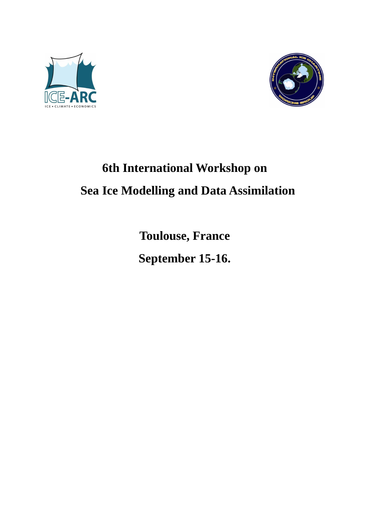



# **6th International Workshop on Sea Ice Modelling and Data Assimilation**

**Toulouse, France** 

**September 15-16.**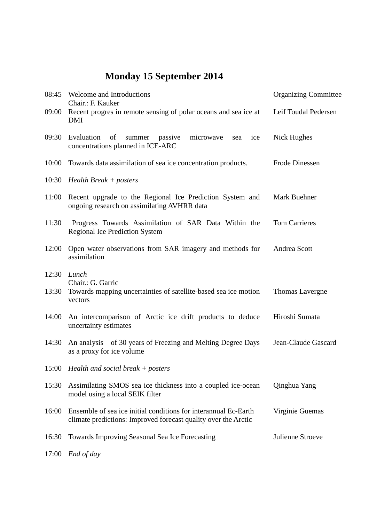# **Monday 15 September 2014**

| 08:45 | Welcome and Introductions<br>Chair.: F. Kauker                                                                                    | <b>Organizing Committee</b> |  |
|-------|-----------------------------------------------------------------------------------------------------------------------------------|-----------------------------|--|
| 09:00 | Recent progres in remote sensing of polar oceans and sea ice at<br><b>DMI</b>                                                     | Leif Toudal Pedersen        |  |
| 09:30 | Evaluation<br>of<br>summer passive<br>microwave<br>ice<br>sea<br>concentrations planned in ICE-ARC                                | Nick Hughes                 |  |
| 10:00 | Towards data assimilation of sea ice concentration products.                                                                      | Frode Dinessen              |  |
|       | 10:30 Health Break + posters                                                                                                      |                             |  |
| 11:00 | Recent upgrade to the Regional Ice Prediction System and<br>ongoing research on assimilating AVHRR data                           | Mark Buehner                |  |
| 11:30 | Progress Towards Assimilation of SAR Data Within the<br><b>Regional Ice Prediction System</b>                                     | <b>Tom Carrieres</b>        |  |
| 12:00 | Open water observations from SAR imagery and methods for<br>assimilation                                                          | Andrea Scott                |  |
| 12:30 | Lunch<br>Chair.: G. Garric                                                                                                        |                             |  |
| 13:30 | Towards mapping uncertainties of satellite-based sea ice motion<br>vectors                                                        | Thomas Lavergne             |  |
| 14:00 | An intercomparison of Arctic ice drift products to deduce<br>uncertainty estimates                                                | Hiroshi Sumata              |  |
| 14:30 | An analysis of 30 years of Freezing and Melting Degree Days<br>as a proxy for ice volume                                          | Jean-Claude Gascard         |  |
|       | 15:00 Health and social break + posters                                                                                           |                             |  |
| 15:30 | Assimilating SMOS sea ice thickness into a coupled ice-ocean<br>model using a local SEIK filter                                   | Qinghua Yang                |  |
| 16:00 | Ensemble of sea ice initial conditions for interannual Ec-Earth<br>climate predictions: Improved forecast quality over the Arctic | Virginie Guemas             |  |
| 16:30 | Towards Improving Seasonal Sea Ice Forecasting                                                                                    | Julienne Stroeve            |  |
| 17:00 | End of day                                                                                                                        |                             |  |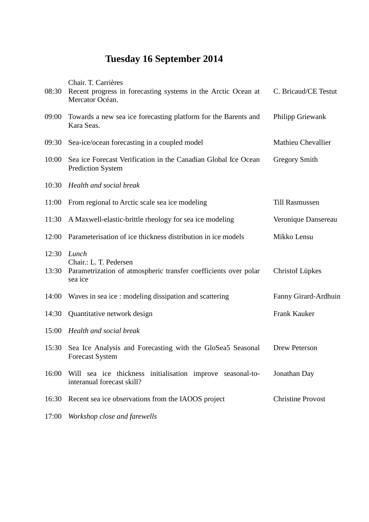## **Tuesday 16 September 2014**

Chair. T. Carrières

|                | 08:30 Recent progress in forecasting systems in the Arctic Ocean at<br>Mercator Océan.                        | C. Bricaud/CE Testut      |
|----------------|---------------------------------------------------------------------------------------------------------------|---------------------------|
| 09:00          | Towards a new sea ice forecasting platform for the Barents and<br>Kara Seas.                                  | <b>Philipp Griewank</b>   |
| 09:30          | Sea-ice/ocean forecasting in a coupled model                                                                  | <b>Mathieu Chevallier</b> |
| 10:00          | Sea ice Forecast Verification in the Canadian Global Ice Ocean<br><b>Prediction System</b>                    | <b>Gregory Smith</b>      |
| 10:30          | Health and social break                                                                                       |                           |
| 11:00          | From regional to Arctic scale sea ice modeling                                                                | <b>Till Rasmussen</b>     |
| 11:30          | A Maxwell-elastic-brittle rheology for sea ice modeling                                                       | Veronique Dansereau       |
| 12:00          | Parameterisation of ice thickness distribution in ice models                                                  | Mikko Lensu               |
| 12:30<br>13:30 | Lunch<br>Chair.: L. T. Pedersen<br>Parametrization of atmospheric transfer coefficients over polar<br>sea ice | <b>Christof Lüpkes</b>    |
| 14:00          | Waves in sea ice: modeling dissipation and scattering                                                         | Fanny Girard-Ardhuin      |
| 14:30          | Quantitative network design                                                                                   | Frank Kauker              |
| 15:00          | Health and social break                                                                                       |                           |
| 15:30          | Sea Ice Analysis and Forecasting with the GloSea5 Seasonal<br><b>Forecast System</b>                          | Drew Peterson             |
| 16:00          | Will sea ice thickness initialisation improve seasonal-to-<br>interanual forecast skill?                      | Jonathan Day              |
| 16:30          | Recent sea ice observations from the IAOOS project                                                            | <b>Christine Provost</b>  |
| 17:00          | Workshop close and farewells                                                                                  |                           |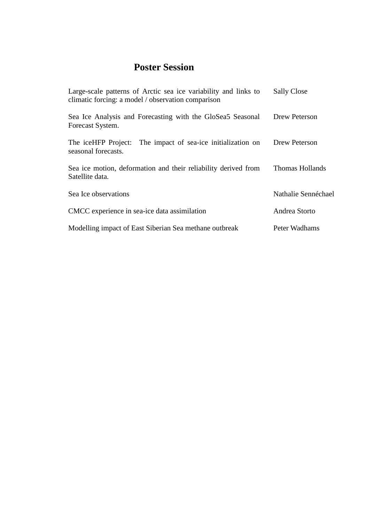### **Poster Session**

| Large-scale patterns of Arctic sea ice variability and links to<br>climatic forcing: a model / observation comparison | <b>Sally Close</b>  |
|-----------------------------------------------------------------------------------------------------------------------|---------------------|
| Sea Ice Analysis and Forecasting with the GloSea5 Seasonal<br>Forecast System.                                        | Drew Peterson       |
| The impact of sea-ice initialization on<br>The iceHFP Project:<br>seasonal forecasts.                                 | Drew Peterson       |
| Sea ice motion, deformation and their reliability derived from<br>Satellite data.                                     | Thomas Hollands     |
| Sea Ice observations                                                                                                  | Nathalie Sennéchael |
| CMCC experience in sea-ice data assimilation                                                                          | Andrea Storto       |
| Modelling impact of East Siberian Sea methane outbreak                                                                | Peter Wadhams       |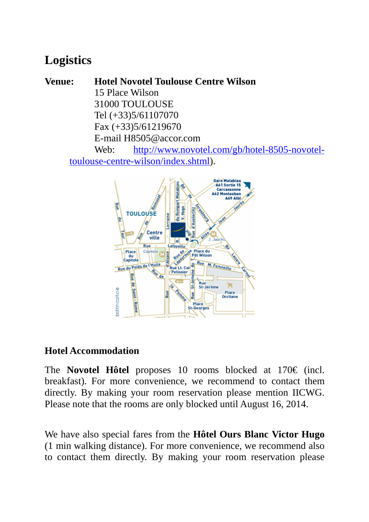## **Logistics**

**Venue: Hotel Novotel Toulouse Centre Wilson**  15 Place Wilson 31000 TOULOUSE Tel (+33)5/61107070 Fax (+33)5/61219670 E-mail H8505@accor.com Web: http://www.novotel.com/gb/hotel-8505-novoteltoulouse-centre-wilson/index.shtml).



### **Hotel Accommodation**

The **Novotel Hôtel** proposes 10 rooms blocked at 170€ (incl. breakfast). For more convenience, we recommend to contact them directly. By making your room reservation please mention IICWG. Please note that the rooms are only blocked until August 16, 2014.

We have also special fares from the **Hôtel Ours Blanc Victor Hugo** (1 min walking distance). For more convenience, we recommend also to contact them directly. By making your room reservation please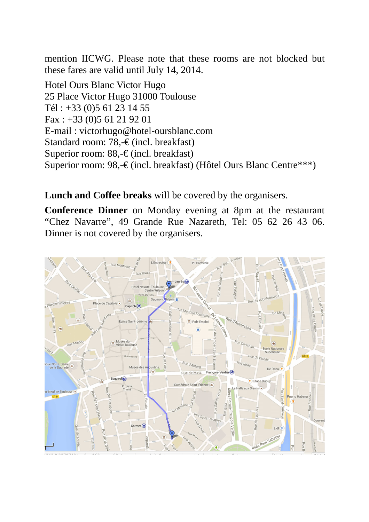mention IICWG. Please note that these rooms are not blocked but these fares are valid until July 14, 2014.

Hotel Ours Blanc Victor Hugo 25 Place Victor Hugo 31000 Toulouse Tél : +33 (0)5 61 23 14 55 Fax : +33 (0)5 61 21 92 01 E-mail : victorhugo@hotel-oursblanc.com Standard room: 78,-€ (incl. breakfast) Superior room: 88,-€ (incl. breakfast) Superior room: 98,-€ (incl. breakfast) (Hôtel Ours Blanc Centre\*\*\*)

**Lunch and Coffee breaks** will be covered by the organisers.

**Conference Dinner** on Monday evening at 8pm at the restaurant "Chez Navarre", 49 Grande Rue Nazareth, Tel: 05 62 26 43 06. Dinner is not covered by the organisers.

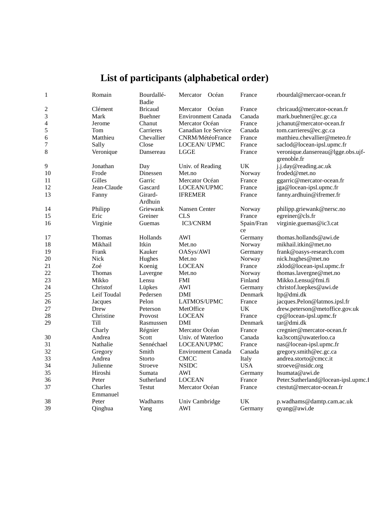# **List of participants (alphabetical order)**

| $\mathbf{1}$   | Romain              | Bourdallé-<br>Badie | Mercator Océan            | France           | rbourdal@mercaor-ocean.fr                        |
|----------------|---------------------|---------------------|---------------------------|------------------|--------------------------------------------------|
| $\overline{c}$ | Clément             | <b>Bricaud</b>      | Mercator Océan            | France           | cbricaud@mercator-ocean.fr                       |
| 3              | Mark                | <b>Buehner</b>      | <b>Environment Canada</b> | Canada           | mark.buehner@ec.gc.ca                            |
| $\overline{4}$ | Jerome              | Chanut              | Mercator Océan            | France           | jchanut@mercator-ocean.fr                        |
| 5              | Tom                 | Carrieres           | Canadian Ice Service      | Canada           | tom.carrieres@ec.gc.ca                           |
| 6              | Matthieu            | Chevallier          | <b>CNRM/MétéoFrance</b>   | France           | matthieu.chevallier@meteo.fr                     |
| $\overline{7}$ | Sally               | Close               | <b>LOCEAN/ UPMC</b>       | France           | saclod@locean-ipsl.upmc.fr                       |
| 8              | Veronique           | Dansereau           | <b>LGGE</b>               | France           | veronique.dansereau@lgge.obs.ujf-<br>grenoble.fr |
| 9              | Jonathan            | Day                 | Univ. of Reading          | UK               | j.j.day@reading.ac.uk                            |
| 10             | Frode               | Dinessen            | Met.no                    | Norway           | froded@met.no                                    |
| 11             | Gilles              | Garric              | Mercator Océan            | France           | ggarric@mercator-ocean.fr                        |
| 12             | Jean-Claude         | Gascard             | LOCEAN/UPMC               | France           | jga@locean-ipsl.upmc.fr                          |
| 13             | Fanny               | Girard-<br>Ardhuin  | <b>IFREMER</b>            | France           | fanny.ardhuin@ifremer.fr                         |
| 14             | Philipp             | Griewank            | Nansen Center             | Norway           | philipp.griewank@nersc.no                        |
| 15             | Eric                | Greiner             | <b>CLS</b>                | France           | egreiner@cls.fr                                  |
| 16             | Virginie            | Guemas              | IC3/CNRM                  | Spain/Fran<br>ce | virginie.guemas@ic3.cat                          |
| 17             | Thomas              | Hollands            | AWI                       | Germany          | thomas.hollands@awi.de                           |
| 18             | Mikhail             | Itkin               | Met.no                    | Norway           | mikhail.itkin@met.no                             |
| 19             | Frank               | Kauker              | OASys/AWI                 | Germany          | frank@oasys-research.com                         |
| 20             | <b>Nick</b>         | Hughes              | Met.no                    | Norway           | nick.hughes@met.no                               |
| 21             | Zoé                 | Koenig              | <b>LOCEAN</b>             | France           | zklod@locean-ipsl.upmc.fr                        |
| 22             | <b>Thomas</b>       | Lavergne            | Met.no                    | Norway           | thomas.lavergne@met.no                           |
| 23             | Mikko               | Lensu               | <b>FMI</b>                | Finland          | Mikko.Lensu@fmi.fi                               |
| 24             | Christof            | Lüpkes              | <b>AWI</b>                | Germany          | christof.luepkes@awi.de                          |
| 25             | Leif Toudal         | Pedersen            | DMI                       | Denmark          | ltp@dmi.dk                                       |
| 26             | Jacques             | Pelon               | LATMOS/UPMC               | France           | jacques.Pelon@latmos.ipsl.fr                     |
| 27             | Drew                | Peterson            | MetOffice                 | UK               | drew.peterson@metoffice.gov.uk                   |
| 28             | Christine           | Provost             | <b>LOCEAN</b>             | France           | cp@locean-ipsl.upmc.fr                           |
| 29             | Till                | Rasmussen           | DMI                       | Denmark          | tar@dmi.dk                                       |
|                | Charly              | Régnier             | Mercator Océan            | France           | cregnier@mercator-ocean.fr                       |
| 30             | Andrea              | Scott               | Univ. of Waterloo         | Canada           | ka3scott@uwaterloo.ca                            |
| 31             | Nathalie            | Sennéchael          | LOCEAN/UPMC               | France           | nas@locean-ipsl.upmc.fr                          |
| 32             | Gregory             | Smith               | Environment Canada        | Canada           | gregory.smith@ec.gc.ca                           |
| 33             | Andrea              | Storto              | <b>CMCC</b>               | Italy            | andrea.storto@cmcc.it                            |
| 34             | Julienne            | <b>Stroeve</b>      | <b>NSIDC</b>              | <b>USA</b>       | stroeve@nsidc.org                                |
| 35             | Hiroshi             | Sumata              | <b>AWI</b>                | Germany          | hsumata@awi.de                                   |
| 36             | Peter               | Sutherland          | <b>LOCEAN</b>             | France           | Peter.Sutherland@locean-ipsl.upmc.f              |
| 37             | Charles<br>Emmanuel | <b>Testut</b>       | Mercator Océan            | France           | ctestut@mercator-ocean.fr                        |
| 38             | Peter               | Wadhams             | Univ Cambridge            | UK               | p.wadhams@damtp.cam.ac.uk                        |
| 39             | Qinghua             | Yang                | <b>AWI</b>                | Germany          | qyang@awi.de                                     |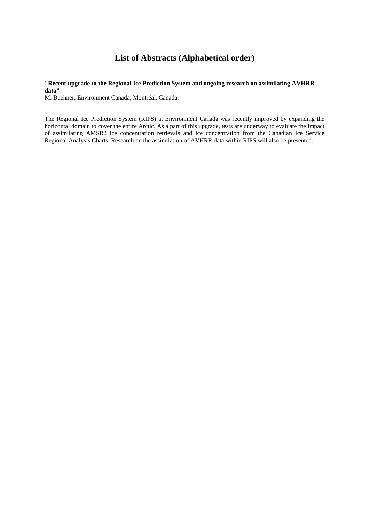### **List of Abstracts (Alphabetical order)**

#### **"Recent upgrade to the Regional Ice Prediction System and ongoing research on assimilating AVHRR**  data"

M. Buehner, Environment Canada, Montréal, Canada.

The Regional Ice Prediction System (RIPS) at Environment Canada was recently improved by expanding the horizontal domain to cover the entire Arctic. As a part of this upgrade, tests are underway to evaluate the impact of assimilating AMSR2 ice concentration retrievals and ice concentration from the Canadian Ice Service Regional Analysis Charts. Research on the assimilation of AVHRR data within RIPS will also be presented.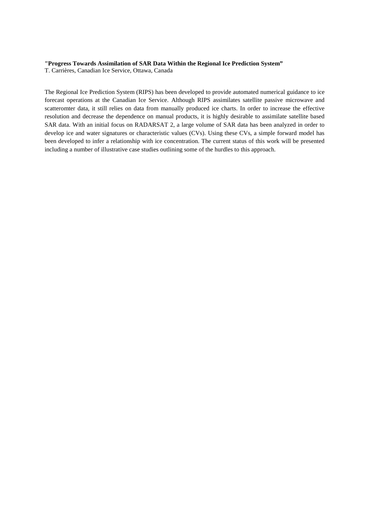#### **"Progress Towards Assimilation of SAR Data Within the Regional Ice Prediction System"**

T. Carrières, Canadian Ice Service, Ottawa, Canada

The Regional Ice Prediction System (RIPS) has been developed to provide automated numerical guidance to ice forecast operations at the Canadian Ice Service. Although RIPS assimilates satellite passive microwave and scatteromter data, it still relies on data from manually produced ice charts. In order to increase the effective resolution and decrease the dependence on manual products, it is highly desirable to assimilate satellite based SAR data. With an initial focus on RADARSAT 2, a large volume of SAR data has been analyzed in order to develop ice and water signatures or characteristic values (CVs). Using these CVs, a simple forward model has been developed to infer a relationship with ice concentration. The current status of this work will be presented including a number of illustrative case studies outlining some of the hurdles to this approach.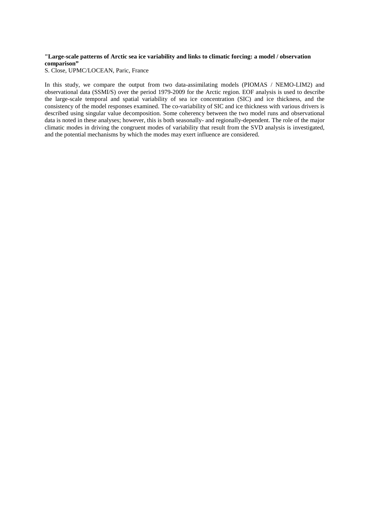#### **"Large-scale patterns of Arctic sea ice variability and links to climatic forcing: a model / observation comparison"**

S. Close, UPMC/LOCEAN, Paric, France

In this study, we compare the output from two data-assimilating models (PIOMAS / NEMO-LIM2) and observational data (SSMI/S) over the period 1979-2009 for the Arctic region. EOF analysis is used to describe the large-scale temporal and spatial variability of sea ice concentration (SIC) and ice thickness, and the consistency of the model responses examined. The co-variability of SIC and ice thickness with various drivers is described using singular value decomposition. Some coherency between the two model runs and observational data is noted in these analyses; however, this is both seasonally- and regionally-dependent. The role of the major climatic modes in driving the congruent modes of variability that result from the SVD analysis is investigated, and the potential mechanisms by which the modes may exert influence are considered.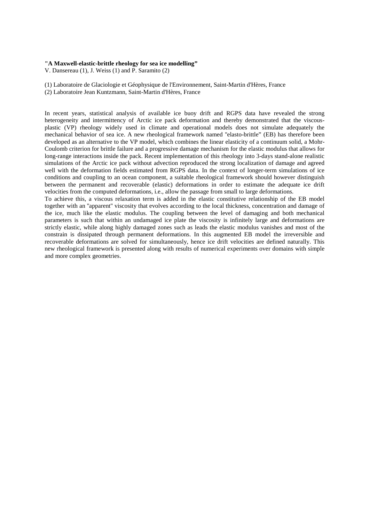#### **"A Maxwell-elastic-brittle rheology for sea ice modelling"**

V. Dansereau (1), J. Weiss (1) and P. Saramito (2)

(1) Laboratoire de Glaciologie et Géophysique de l'Environnement, Saint-Martin d'Hères, France

(2) Laboratoire Jean Kuntzmann, Saint-Martin d'Hères, France

In recent years, statistical analysis of available ice buoy drift and RGPS data have revealed the strong heterogeneity and intermittency of Arctic ice pack deformation and thereby demonstrated that the viscousplastic (VP) rheology widely used in climate and operational models does not simulate adequately the mechanical behavior of sea ice. A new rheological framework named ''elasto-brittle" (EB) has therefore been developed as an alternative to the VP model, which combines the linear elasticity of a continuum solid, a Mohr-Coulomb criterion for brittle failure and a progressive damage mechanism for the elastic modulus that allows for long-range interactions inside the pack. Recent implementation of this rheology into 3-days stand-alone realistic simulations of the Arctic ice pack without advection reproduced the strong localization of damage and agreed well with the deformation fields estimated from RGPS data. In the context of longer-term simulations of ice conditions and coupling to an ocean component, a suitable rheological framework should however distinguish between the permanent and recoverable (elastic) deformations in order to estimate the adequate ice drift velocities from the computed deformations, i.e., allow the passage from small to large deformations.

To achieve this, a viscous relaxation term is added in the elastic constitutive relationship of the EB model together with an ''apparent'' viscosity that evolves according to the local thickness, concentration and damage of the ice, much like the elastic modulus. The coupling between the level of damaging and both mechanical parameters is such that within an undamaged ice plate the viscosity is infinitely large and deformations are strictly elastic, while along highly damaged zones such as leads the elastic modulus vanishes and most of the constrain is dissipated through permanent deformations. In this augmented EB model the irreversible and recoverable deformations are solved for simultaneously, hence ice drift velocities are defined naturally. This new rheological framework is presented along with results of numerical experiments over domains with simple and more complex geometries.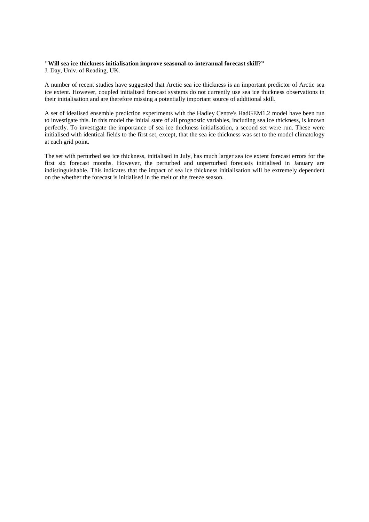#### **"Will sea ice thickness initialisation improve seasonal-to-interanual forecast skill?"**

J. Day, Univ. of Reading, UK.

A number of recent studies have suggested that Arctic sea ice thickness is an important predictor of Arctic sea ice extent. However, coupled initialised forecast systems do not currently use sea ice thickness observations in their initialisation and are therefore missing a potentially important source of additional skill.

A set of idealised ensemble prediction experiments with the Hadley Centre's HadGEM1.2 model have been run to investigate this. In this model the initial state of all prognostic variables, including sea ice thickness, is known perfectly. To investigate the importance of sea ice thickness initialisation, a second set were run. These were initialised with identical fields to the first set, except, that the sea ice thickness was set to the model climatology at each grid point.

The set with perturbed sea ice thickness, initialised in July, has much larger sea ice extent forecast errors for the first six forecast months. However, the perturbed and unperturbed forecasts initialised in January are indistinguishable. This indicates that the impact of sea ice thickness initialisation will be extremely dependent on the whether the forecast is initialised in the melt or the freeze season.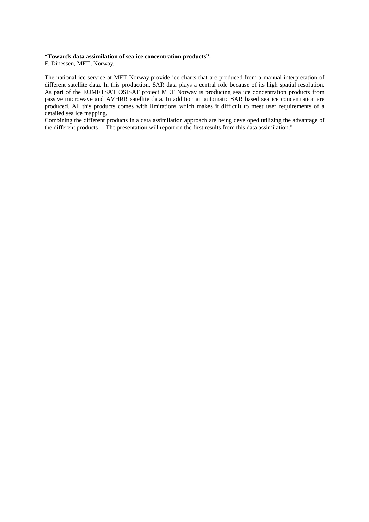#### **"Towards data assimilation of sea ice concentration products".**

F. Dinessen, MET, Norway.

The national ice service at MET Norway provide ice charts that are produced from a manual interpretation of different satellite data. In this production, SAR data plays a central role because of its high spatial resolution. As part of the EUMETSAT OSISAF project MET Norway is producing sea ice concentration products from passive microwave and AVHRR satellite data. In addition an automatic SAR based sea ice concentration are produced. All this products comes with limitations which makes it difficult to meet user requirements of a detailed sea ice mapping.

Combining the different products in a data assimilation approach are being developed utilizing the advantage of the different products. The presentation will report on the first results from this data assimilation."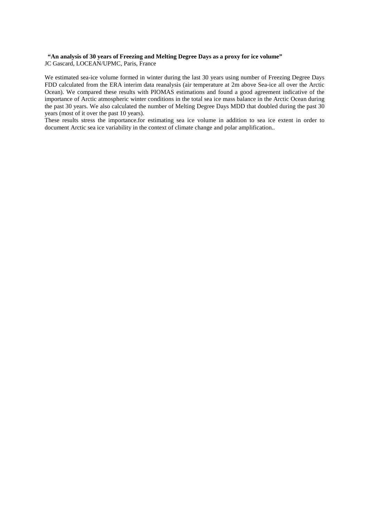### **"An analysis of 30 years of Freezing and Melting Degree Days as a proxy for ice volume"**

JC Gascard, LOCEAN/UPMC, Paris, France

We estimated sea-ice volume formed in winter during the last 30 years using number of Freezing Degree Days FDD calculated from the ERA interim data reanalysis (air temperature at 2m above Sea-ice all over the Arctic Ocean). We compared these results with PIOMAS estimations and found a good agreement indicative of the importance of Arctic atmospheric winter conditions in the total sea ice mass balance in the Arctic Ocean during the past 30 years. We also calculated the number of Melting Degree Days MDD that doubled during the past 30 years (most of it over the past 10 years).

These results stress the importance.for estimating sea ice volume in addition to sea ice extent in order to document Arctic sea ice variability in the context of climate change and polar amplification..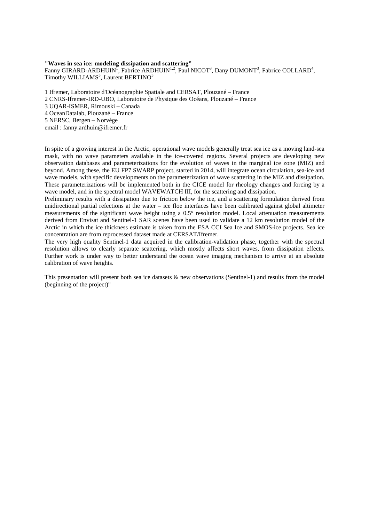#### **"Waves in sea ice: modeling dissipation and scattering"**

Fanny GIRARD-ARDHUIN<sup>I</sup>, Fabrice ARDHUIN<sup>1,2</sup>, Paul NICOT<sup>3</sup>, Dany DUMONT<sup>3</sup>, Fabrice COLLARD<sup>4</sup>, Timothy WILLIAMS<sup>5</sup>, Laurent BERTINO<sup>5</sup>

1 Ifremer, Laboratoire d'Océanographie Spatiale and CERSAT, Plouzané – France

2 CNRS-Ifremer-IRD-UBO, Laboratoire de Physique des Océans, Plouzané – France

3 UQAR-ISMER, Rimouski – Canada

4 OceanDatalab, Plouzané – France

5 NERSC, Bergen – Norvège

email : fanny.ardhuin@ifremer.fr

In spite of a growing interest in the Arctic, operational wave models generally treat sea ice as a moving land-sea mask, with no wave parameters available in the ice-covered regions. Several projects are developing new observation databases and parameterizations for the evolution of waves in the marginal ice zone (MIZ) and beyond. Among these, the EU FP7 SWARP project, started in 2014, will integrate ocean circulation, sea-ice and wave models, with specific developments on the parameterization of wave scattering in the MIZ and dissipation. These parameterizations will be implemented both in the CICE model for rheology changes and forcing by a wave model, and in the spectral model WAVEWATCH III, for the scattering and dissipation.

Preliminary results with a dissipation due to friction below the ice, and a scattering formulation derived from unidirectional partial refections at the water – ice floe interfaces have been calibrated against global altimeter measurements of the significant wave height using a 0.5° resolution model. Local attenuation measurements derived from Envisat and Sentinel-1 SAR scenes have been used to validate a 12 km resolution model of the Arctic in which the ice thickness estimate is taken from the ESA CCI Sea Ice and SMOS-ice projects. Sea ice concentration are from reprocessed dataset made at CERSAT/Ifremer.

The very high quality Sentinel-1 data acquired in the calibration-validation phase, together with the spectral resolution allows to clearly separate scattering, which mostly affects short waves, from dissipation effects. Further work is under way to better understand the ocean wave imaging mechanism to arrive at an absolute calibration of wave heights.

This presentation will present both sea ice datasets & new observations (Sentinel-1) and results from the model (beginning of the project)"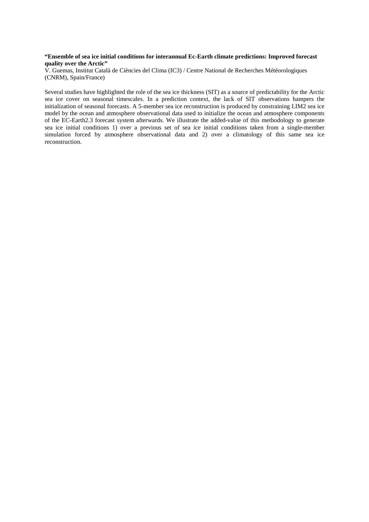#### **"Ensemble of sea ice initial conditions for interannual Ec-Earth climate predictions: Improved forecast quality over the Arctic"**

V. Guemas, Institut Català de Ciències del Clima (IC3) / Centre National de Recherches Météorologiques (CNRM), Spain/France)

Several studies have highlighted the role of the sea ice thickness (SIT) as a source of predictability for the Arctic sea ice cover on seasonal timescales. In a prediction context, the lack of SIT observations hampers the initialization of seasonal forecasts. A 5-member sea ice reconstruction is produced by constraining LIM2 sea ice model by the ocean and atmosphere observational data used to initialize the ocean and atmosphere components of the EC-Earth2.3 forecast system afterwards. We illustrate the added-value of this methodology to generate sea ice initial conditions 1) over a previous set of sea ice initial conditions taken from a single-member simulation forced by atmosphere observational data and 2) over a climatology of this same sea ice reconstruction.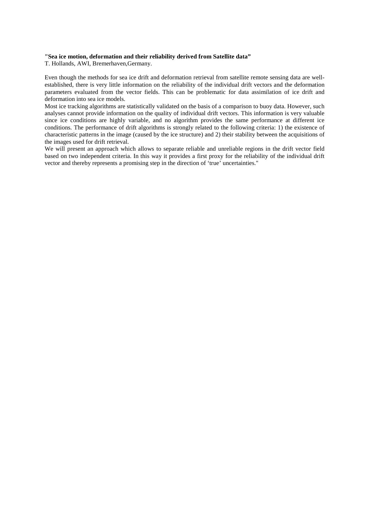#### **"Sea ice motion, deformation and their reliability derived from Satellite data"**

T. Hollands, AWI, Bremerhaven,Germany.

Even though the methods for sea ice drift and deformation retrieval from satellite remote sensing data are wellestablished, there is very little information on the reliability of the individual drift vectors and the deformation parameters evaluated from the vector fields. This can be problematic for data assimilation of ice drift and deformation into sea ice models.

Most ice tracking algorithms are statistically validated on the basis of a comparison to buoy data. However, such analyses cannot provide information on the quality of individual drift vectors. This information is very valuable since ice conditions are highly variable, and no algorithm provides the same performance at different ice conditions. The performance of drift algorithms is strongly related to the following criteria: 1) the existence of characteristic patterns in the image (caused by the ice structure) and 2) their stability between the acquisitions of the images used for drift retrieval.

We will present an approach which allows to separate reliable and unreliable regions in the drift vector field based on two independent criteria. In this way it provides a first proxy for the reliability of the individual drift vector and thereby represents a promising step in the direction of 'true' uncertainties."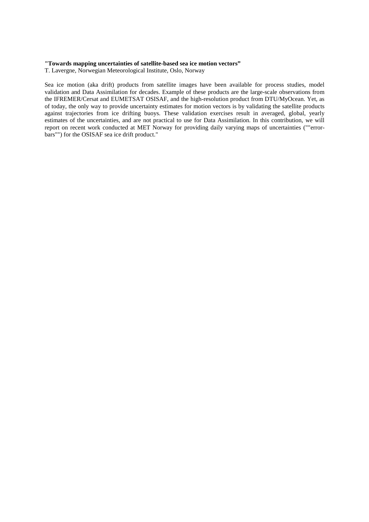#### **"Towards mapping uncertainties of satellite-based sea ice motion vectors"**

T. Lavergne, Norwegian Meteorological Institute, Oslo, Norway

Sea ice motion (aka drift) products from satellite images have been available for process studies, model validation and Data Assimilation for decades. Example of these products are the large-scale observations from the IFREMER/Cersat and EUMETSAT OSISAF, and the high-resolution product from DTU/MyOcean. Yet, as of today, the only way to provide uncertainty estimates for motion vectors is by validating the satellite products against trajectories from ice drifting buoys. These validation exercises result in averaged, global, yearly estimates of the uncertainties, and are not practical to use for Data Assimilation. In this contribution, we will report on recent work conducted at MET Norway for providing daily varying maps of uncertainties (""errorbars"") for the OSISAF sea ice drift product."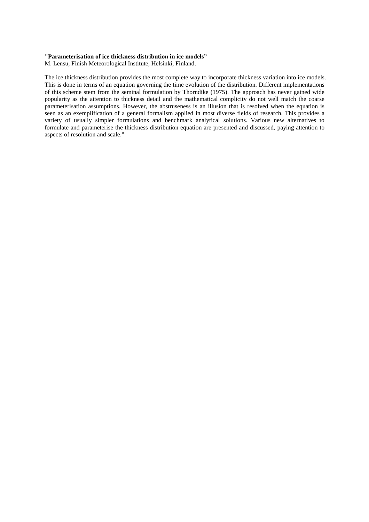#### **"Parameterisation of ice thickness distribution in ice models"**

M. Lensu, Finish Meteorological Institute, Helsinki, Finland.

The ice thickness distribution provides the most complete way to incorporate thickness variation into ice models. This is done in terms of an equation governing the time evolution of the distribution. Different implementations of this scheme stem from the seminal formulation by Thorndike (1975). The approach has never gained wide popularity as the attention to thickness detail and the mathematical complicity do not well match the coarse parameterisation assumptions. However, the abstruseness is an illusion that is resolved when the equation is seen as an exemplification of a general formalism applied in most diverse fields of research. This provides a variety of usually simpler formulations and benchmark analytical solutions. Various new alternatives to formulate and parameterise the thickness distribution equation are presented and discussed, paying attention to aspects of resolution and scale."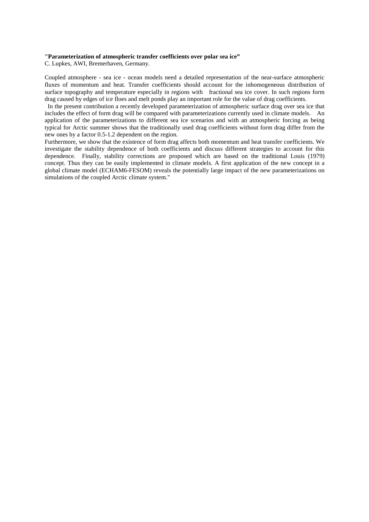#### **"Parameterization of atmospheric transfer coefficients over polar sea ice"**

C. Lupkes, AWI, Bremerhaven, Germany.

Coupled atmosphere - sea ice - ocean models need a detailed representation of the near-surface atmospheric fluxes of momentum and heat. Transfer coefficients should account for the inhomogeneous distribution of surface topography and temperature especially in regions with fractional sea ice cover. In such regions form drag caused by edges of ice floes and melt ponds play an important role for the value of drag coefficients.

 In the present contribution a recently developed parameterization of atmospheric surface drag over sea ice that includes the effect of form drag will be compared with parameterizations currently used in climate models. An application of the parameterizations to different sea ice scenarios and with an atmospheric forcing as being typical for Arctic summer shows that the traditionally used drag coefficients without form drag differ from the new ones by a factor 0.5-1.2 dependent on the region.

Furthermore, we show that the existence of form drag affects both momentum and heat transfer coefficients. We investigate the stability dependence of both coefficients and discuss different strategies to account for this dependence. Finally, stability corrections are proposed which are based on the traditional Louis (1979) concept. Thus they can be easily implemented in climate models. A first application of the new concept in a global climate model (ECHAM6-FESOM) reveals the potentially large impact of the new parameterizations on simulations of the coupled Arctic climate system."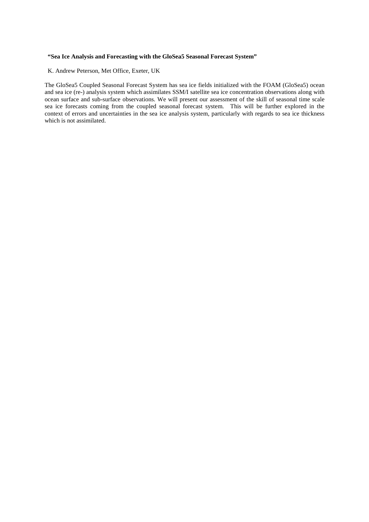#### **"Sea Ice Analysis and Forecasting with the GloSea5 Seasonal Forecast System"**

K. Andrew Peterson, Met Office, Exeter, UK

The GloSea5 Coupled Seasonal Forecast System has sea ice fields initialized with the FOAM (GloSea5) ocean and sea ice (re-) analysis system which assimilates SSM/I satellite sea ice concentration observations along with ocean surface and sub-surface observations. We will present our assessment of the skill of seasonal time scale sea ice forecasts coming from the coupled seasonal forecast system. This will be further explored in the context of errors and uncertainties in the sea ice analysis system, particularly with regards to sea ice thickness which is not assimilated.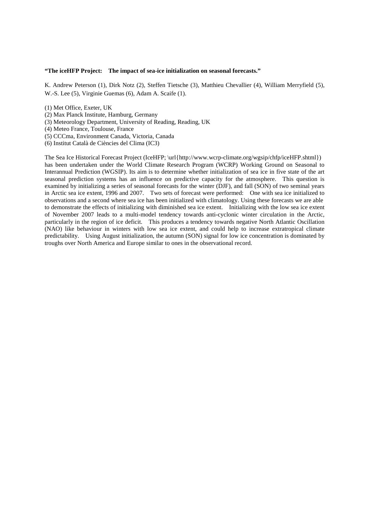#### **"The iceHFP Project: The impact of sea-ice initialization on seasonal forecasts."**

K. Andrew Peterson (1), Dirk Notz (2), Steffen Tietsche (3), Matthieu Chevallier (4), William Merryfield (5), W.-S. Lee (5), Virginie Guemas (6), Adam A. Scaife (1).

- (1) Met Office, Exeter, UK
- (2) Max Planck Institute, Hamburg, Germany
- (3) Meteorology Department, University of Reading, Reading, UK
- (4) Meteo France, Toulouse, France
- (5) CCCma, Environment Canada, Victoria, Canada
- (6) Institut Català de Ciències del Clima (IC3)

The Sea Ice Historical Forecast Project (IceHFP; \url{http://www.wcrp-climate.org/wgsip/chfp/iceHFP.shtml}) has been undertaken under the World Climate Research Program (WCRP) Working Ground on Seasonal to Interannual Prediction (WGSIP). Its aim is to determine whether initialization of sea ice in five state of the art seasonal prediction systems has an influence on predictive capacity for the atmosphere. This question is examined by initializing a series of seasonal forecasts for the winter (DJF), and fall (SON) of two seminal years in Arctic sea ice extent, 1996 and 2007. Two sets of forecast were performed: One with sea ice initialized to observations and a second where sea ice has been initialized with climatology. Using these forecasts we are able to demonstrate the effects of initializing with diminished sea ice extent. Initializing with the low sea ice extent of November 2007 leads to a multi-model tendency towards anti-cyclonic winter circulation in the Arctic, particularly in the region of ice deficit. This produces a tendency towards negative North Atlantic Oscillation (NAO) like behaviour in winters with low sea ice extent, and could help to increase extratropical climate predictability. Using August initialization, the autumn (SON) signal for low ice concentration is dominated by troughs over North America and Europe similar to ones in the observational record.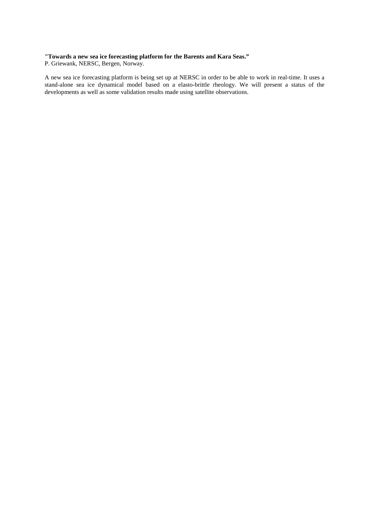#### **"Towards a new sea ice forecasting platform for the Barents and Kara Seas."**

P. Griewank, NERSC, Bergen, Norway.

A new sea ice forecasting platform is being set up at NERSC in order to be able to work in real-time. It uses a stand-alone sea ice dynamical model based on a elasto-brittle rheology. We will present a status of the developments as well as some validation results made using satellite observations.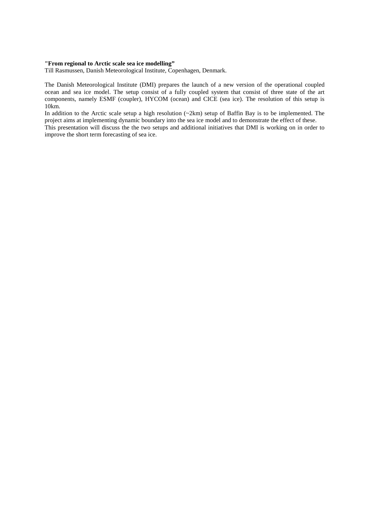#### **"From regional to Arctic scale sea ice modelling"**

Till Rasmussen, Danish Meteorological Institute, Copenhagen, Denmark.

The Danish Meteorological Institute (DMI) prepares the launch of a new version of the operational coupled ocean and sea ice model. The setup consist of a fully coupled system that consist of three state of the art components, namely ESMF (coupler), HYCOM (ocean) and CICE (sea ice). The resolution of this setup is 10km.

In addition to the Arctic scale setup a high resolution (~2km) setup of Baffin Bay is to be implemented. The project aims at implementing dynamic boundary into the sea ice model and to demonstrate the effect of these. This presentation will discuss the the two setups and additional initiatives that DMI is working on in order to improve the short term forecasting of sea ice.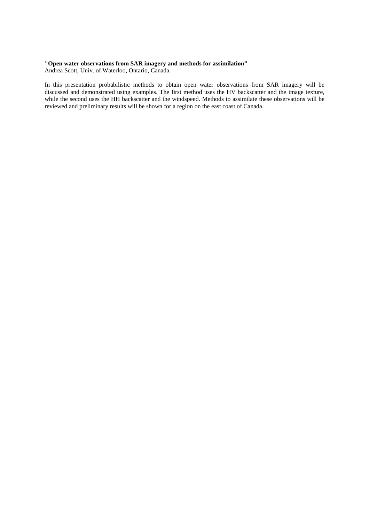#### **"Open water observations from SAR imagery and methods for assimilation"**

Andrea Scott, Univ. of Waterloo, Ontario, Canada.

In this presentation probabilistic methods to obtain open water observations from SAR imagery will be discussed and demonstrated using examples. The first method uses the HV backscatter and the image texture, while the second uses the HH backscatter and the windspeed. Methods to assimilate these observations will be reviewed and preliminary results will be shown for a region on the east coast of Canada.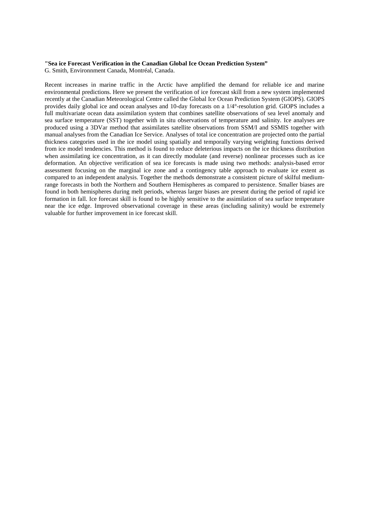#### **"Sea ice Forecast Verification in the Canadian Global Ice Ocean Prediction System"**

G. Smith, Environnment Canada, Montréal, Canada.

Recent increases in marine traffic in the Arctic have amplified the demand for reliable ice and marine environmental predictions. Here we present the verification of ice forecast skill from a new system implemented recently at the Canadian Meteorological Centre called the Global Ice Ocean Prediction System (GIOPS). GIOPS provides daily global ice and ocean analyses and 10-day forecasts on a 1/4°-resolution grid. GIOPS includes a full multivariate ocean data assimilation system that combines satellite observations of sea level anomaly and sea surface temperature (SST) together with in situ observations of temperature and salinity. Ice analyses are produced using a 3DVar method that assimilates satellite observations from SSM/I and SSMIS together with manual analyses from the Canadian Ice Service. Analyses of total ice concentration are projected onto the partial thickness categories used in the ice model using spatially and temporally varying weighting functions derived from ice model tendencies. This method is found to reduce deleterious impacts on the ice thickness distribution when assimilating ice concentration, as it can directly modulate (and reverse) nonlinear processes such as ice deformation. An objective verification of sea ice forecasts is made using two methods: analysis-based error assessment focusing on the marginal ice zone and a contingency table approach to evaluate ice extent as compared to an independent analysis. Together the methods demonstrate a consistent picture of skilful mediumrange forecasts in both the Northern and Southern Hemispheres as compared to persistence. Smaller biases are found in both hemispheres during melt periods, whereas larger biases are present during the period of rapid ice formation in fall. Ice forecast skill is found to be highly sensitive to the assimilation of sea surface temperature near the ice edge. Improved observational coverage in these areas (including salinity) would be extremely valuable for further improvement in ice forecast skill.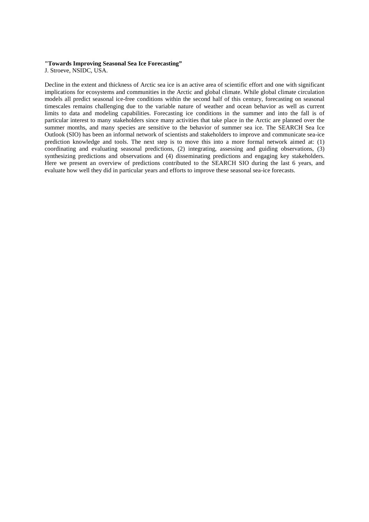#### **"Towards Improving Seasonal Sea Ice Forecasting"**

J. Stroeve, NSIDC, USA.

Decline in the extent and thickness of Arctic sea ice is an active area of scientific effort and one with significant implications for ecosystems and communities in the Arctic and global climate. While global climate circulation models all predict seasonal ice-free conditions within the second half of this century, forecasting on seasonal timescales remains challenging due to the variable nature of weather and ocean behavior as well as current limits to data and modeling capabilities. Forecasting ice conditions in the summer and into the fall is of particular interest to many stakeholders since many activities that take place in the Arctic are planned over the summer months, and many species are sensitive to the behavior of summer sea ice. The SEARCH Sea Ice Outlook (SIO) has been an informal network of scientists and stakeholders to improve and communicate sea-ice prediction knowledge and tools. The next step is to move this into a more formal network aimed at: (1) coordinating and evaluating seasonal predictions, (2) integrating, assessing and guiding observations, (3) synthesizing predictions and observations and (4) disseminating predictions and engaging key stakeholders. Here we present an overview of predictions contributed to the SEARCH SIO during the last 6 years, and evaluate how well they did in particular years and efforts to improve these seasonal sea-ice forecasts.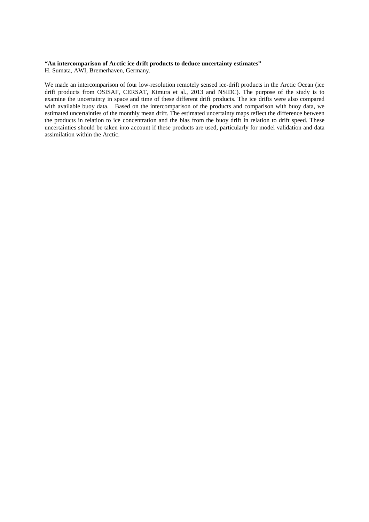### **"An intercomparison of Arctic ice drift products to deduce uncertainty estimates"**

H. Sumata, AWI, Bremerhaven, Germany.

We made an intercomparison of four low-resolution remotely sensed ice-drift products in the Arctic Ocean (ice drift products from OSISAF, CERSAT, Kimura et al., 2013 and NSIDC). The purpose of the study is to examine the uncertainty in space and time of these different drift products. The ice drifts were also compared with available buoy data. Based on the intercomparison of the products and comparison with buoy data, we estimated uncertainties of the monthly mean drift. The estimated uncertainty maps reflect the difference between the products in relation to ice concentration and the bias from the buoy drift in relation to drift speed. These uncertainties should be taken into account if these products are used, particularly for model validation and data assimilation within the Arctic.